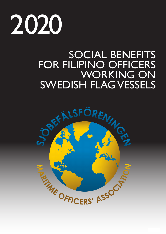

# SOCIAL BENEFITS FOR FILIPINO OFFICERS WORKING ON SWEDISH FLAG VESSELS

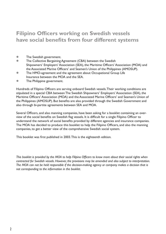## **Filipino Officers working on Swedish vessels have social benefits from four different systems**

- **The Swedish government.**
- **The Collective Bargaining Agreement (CBA) between the Swedish**  Shipowners' Employers' Association (SEA), the Maritime Officers' Association (MOA) and the Associated Marine Officers' and Seamen's Union of the Philippines (AMOSUP).
- **The HMO-agreement and the agreement about Occupational Group Life** Insurance between the MOA and the SEA.
- **The Philippine government.**

Hundreds of Filipino Officers are serving onboard Swedish vessels.Their working conditions are stipulated in a special CBA between The Swedish Shipowners' Employers' Association (SEA), the Maritime Officers' Association (MOA) and the Associated Marine Officers' and Seamen's Union of the Philippines (AMOSUP). But benefits are also provided through the Swedish Government and also through bi-partite agreements between SEA and MOA.

Several Officers, and also manning companies, have been asking for a booklet containing an overview of the social benefits on Swedish flag vessels. It is difficult for a single Filipino Officer to understand the network of social benefits provided by different agencies and insurance companies. The MOA has decided to produce this booklet to help the Filipino Officers, and also the manning companies, to get a better view of the comprehensive Swedish social system.

This booklet was first published in 2003.This is the eighteenth edition.

*This booklet is provided by the MOA to help Filipino Officers to know more about their social rights when contracted for Swedish vessels. However, the provisions may be amended and also subject to interpretation. The MOA can not be held responsible if the decision-making agency or company makes a decision that is not corresponding to the information in the booklet.*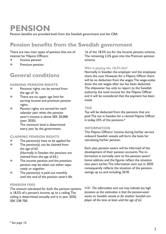## **PENSION**

Pension benefits are provided both from the Swedish government and the CBA.

## **Pension benefits from the Swedish government**

There are two main types of pension that are of interest for Filipino Officers:

- **•** Income pension
- **Premium pension**

### **General conditions**

#### **EARNING PENSION RIGHTS**

- **•** Pensions rights can be earned from the age of 16.
- **•** There are no upper age limit for earning income and premium pension rights.
- **•** Pension rights are earned for each calendar year when the pension saver's income is above SEK 20,008 (year 2020). The minimum level is determined

every year by the government.

#### **CLAIMING PENSION RIGHTS**

- $\bullet$  The pension(s) have to be applied for.
- $\bullet$  The pension(s) can be claimed from the age of 62. (Normally in Sweden the pensions are claimed from the age of 65.)
- The income pension and the premium pension may be taken out either sepa rately or together.
- $\bullet$  The pension(s) is paid out monthly until the end of the pension saver's life.

#### **PENSION FEES**

The amount calculated for both the pension systems is 18,5% of a person's income up to a ceiling. The ceiling is determined annually and is in year 2020, SEK 538 700.

16 of the 18,5% are for the Income pension scheme. The remaining 2,5% goes into the Premium pension scheme.

#### *Who is paying the 18,5% fee?*

Normally in Sweden the employer and the employee share the cost. However, for a Filipino Officer there will be no deduction from the wages. The wage-scales show the net wages after tax has been deducted. The shipowner has only to report to the Swedish authority the total income for the Filipino Officer and it will be considered that the payment has been made.

#### **TAX**

Tax will be deducted from the pensions that are paid.The tax in Sweden for a retired Filipino Officer is today, 25% of the pensions.\*

#### **INFORMATION**

The Filipino Officers' income during his/her service onboard Swedish vessels will form the basis for calculating his/her pension.

Each year, pension savers will be informed of the development of their pension accounts. The information is normally sent to the pension savers' home address and the figures reflect the situation two years earlier. The information sent out in 2020 consequently reflects the situation of the pensionsavings up to, and including, 2018.

**NB!** *The information sent out may indicate too high pensions as the estimation is that the pension-saver works on Swedish vessels or for another Swedish employer all the time at least until the age of 62.*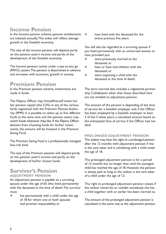## **Income Pension**

In the Income pension scheme, pension entitlements are indexed annually.This index will reflect average growth in the Swedish economy.

The size of the income pension will depend partly on the pension saver's income and partly of the development of the Swedish economy.

The Income pension comes under a pay-as-you go (PAYG) system. The pension is determined in advance and increases with economic growth in society.

## **Premium Pension**

In the Premium pension scheme, investments are made in funds.

The Filipino Officer may himself/herself invest his/ her pension capital (the 2,5%) in any of the various funds registered with the Premium Pension Authority (PPM). It is possible to select up to five different funds at the same time and the pension savers may switch funds whenever they like. If the Filipino Officer abstains from choosing funds for his/her investments, the amount will be invested in the Premium Saving Fund.

The Premium Saving Fund is a professionally managed low-risk fund.

The size of the Premium pension will depend partly on the pension saver's income and partly on the development of his/her chosen funds.

### **Survivor's Pension ADJUSTMENT PENSION**

An adjustment pension is payable to a surviving spouse under the age of 65 who lived permanently with the deceased at the time of death. The survivor must:

 $\bullet$  live permanently with a child under the age of 18 for whom one or both spouses had parental responsibility, or

have lived with the deceased for the entire previous five years.

You will also be regarded as a surviving spouse if you lived permanently with an unmarried woman or man, provided you:

- were previously married to the deceased, or
- have or have had children with the deceased, or
- $\bullet$  were expecting a child with the deceased at the time of death.

The term married also includes a registered partnership. Cohabitants other than those described here are not entitled to adjustment pension.

The amount of the pension is depending of the time of service for a Swedish employer and, if the Officer has been employed by a Swedish employer at least 3 of the 5 latest years, a calculated amount based on the anticipated time of service if the Officer had not died.

#### **PROLONGED ADJUSTMENT PENSION**

The widow may have the right to a prolonged pension after the 12 months with adjustment pension if she is the care taker and is cohabiting with a child under the age of 18.

The prolonged adjustment pension is for a period of 12 months but no longer than until the youngest child has reached the age of 18. However, the pension is always paid as long as the widow is the care taker of a child under the age of 12.

The right to prolonged adjustment pension ceases if the widow remarries or cohabit somebody she has a child together with or earlier has been married to.

The amount of the prolonged adjustment pension is calculated in the same way as the adjustment pension.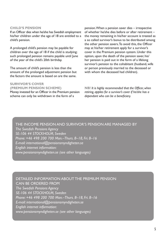#### **CHILD'S PENSION**

If an Officer dies when he/she has Swedish employment his/her children under the age of 18 are entitled to a child's pension.

A prolonged child's pension may be payable for children over the age of 18 if the child is studying; such prolonged pension remains payable until June of the year of the child's 20th birthday.

The amount of child's pension is less than the amount of the prolonged adjustment pension but the factors the amount is based on are the same.

#### **SURVIVOR'S COVER (PREMIUM PENSION SCHEME)**

Money invested for an Officer in the Premium pension scheme can only be withdrawn in the form of a

pension. When a pension saver dies – irrespective of whether he/she dies before or after retirement – the money remaining in his/her account is treated as a so called survivor's bonus to be distributed among the other pension savers.To avoid this, the Officer may at his/her retirement apply for a survivor's cover in the Premium pension system. Under this option, upon the death of the pension saver, his/ her pension is paid out in the form of a lifelong survivor's pension to the cohabitant (husband, wife or person previously married to the deceased or with whom the deceased had children).

**NB!** *It is highly recommended that the Officer, when retiring, applies for a survivor's cover if he/she has a dependant who can be a beneficiary.*

### THE INCOME PENSION AND SURVIVOR'S PENSION ARE MANAGED BY *The Swedish Pensions Agency SE-106 44 STOCKHOLM, Sweden Phone: +46 498 200 700 Mon.–Thurs. 8–18, Fri. 8–16 E-mail: international@pensionsmyndigheten.se English internet information: www.pensionsmyndigheten.se (see other languages)*

#### DETAILED INFORMATION ABOUT THE PREMIUM PENSION CAN BE ORDERED FROM

*The Swedish Pensions Agency SE-106 44 STOCKHOLM, Sweden Phone: +46 498 200 700 Mon.–Thurs. 8–18, Fri. 8–16 E-mail: international@pensionsmyndigheten.se English internet information: www.pensionsmyndigheten.se (see other languages)*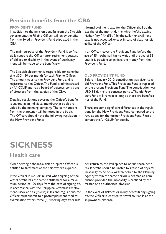## **Pension benefits from the CBA**

#### **PROVIDENT FUND**

In addition to the pension benefits from the Swedish government, the Filipino Officer will enjoy benefits from the Swedish Provident Fund stipulated in the CBA.

The main purpose of the Provident Fund is to financially support the Officer after retirement because of old age or disability. In the event of death, payment will be made to the beneficiary.

The Swedish shipowner is responsible for contributing USD 150 per month for each Filipino Officer. The amount goes to the Provident Fund and is registered to the Officer.The Fund is administrated by AMOSUP and has a board of trustees consisiting of directors from the parties of the CBA.

Detailed regulations covering the Officer's benefits is started in an individual membership book provided by the manning company. The contributions from the shipowner will be noted in the book. The Officers should note the following regulation in the New Provident Fund:

Normal availment date for the Officer shall be the last day of the month during which he/she attains his/her fifty-fifth (55th) birthday. Earlier availment date is not accepted, except in case of death or disability of the Officer.

If an Officer leaves the Provident Fund before the age of 55 he/she still has to wait until the age of 55 until it is possible to achieve the money from the Provident Fund.

#### **OLD PROVIDENT FUND**

Before 1 January 2010, contribution was given to an old Provident Fund. This Provident Fund is replaced by the present Provident Fund. The contribution was USD 98 during the contract period.The old Provident Fund will remain as long as there are beneficiaries of the Fund.

There are some significant differences in the regulations for the New Provident Fund compared to the regulations for the former Provident Fund. Please contact the AMOSUP for details.

# **SICKNESS**

## **Health care**

While serving onboard, a sick or injured Officer is entitled to treatment at the shipowner's expense.

If the Officer is sick or injured when signing off the vessel he/she has the same entitlement for a maximum period of 120 days from the date of signing off. In accordance with the Philippine Overseas Employment Association's (POEA) rules and regulations, the Officer must submit to a postemployment medical examination within three (3) working days after his/

her return to the Philippines to obtain these benefits. If he/she should be unable by reason of physical incapacity to do so, a written notice to the Manning Agency within the same period is deemed as compliance, provided the incapacity is certified by the master or an authorized physician.

In the event of sickness or injury necessitating signing off, the Officer is entitled to travel to Manila at the shipowner's expense.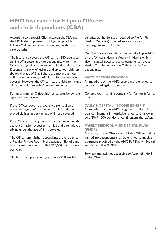## **HMO Insurance for Filipino Officers and their dependants (CBA)**

According to a special CBA between the SEA and the MOA, the shipowner is obliged to provide all Filipino Officers and their dependants with health care benefits.

The insurance covers the Officer for 180 days after signing off a vessel and the dependants when the Officer is signed on a vessel and 180 days thereafter. Dependants are wife/husband and up to four children (below the age of 21). If there are more than four children under the age of 21, the four oldest are covered. However, the Officer has the right to include all his/her children at his/her own expense.

For an unmarried Officer, his/her parents below the age of 65 are covered.

If the Officer does not have any parents alive or under the age of 65, his/her unmarried and unemployed siblings under the age of 21 are covered.

If the Officer has only one parent alive or under the age of 65, his/her oldest unmarried and unemployed sibling under the age of 21 is covered.

The Officer and his/her dependants are entitled to a Regular Private Room Hospitalization Benefit and health care equivalent to PHP 300,000 per sickness per year.

The insurance plan is integrated with Phil Health

benefits; planholders are required to file for Phil Health (Medicare) covered services prior to discharge from the hospital.

Detailed information about the benefits is provided by the Officer's Manning Agency in Manila, which also makes all necessary arrangements to have a Health Card issued for the Officer and his/her dependants.

#### **VACCINATION PROGRAM**

All members of the HMO program are entitled to be vaccinated against pneumonia.

Contact your manning company for furhter information.

#### **DAILY HOSPITAL INCOME BENEFIT**

All members of the HMO program are, after three days confinement in hospital, entitled to an allowance of PHP 1000 per day of confinement thereafter.

#### **FAMILY MEDICAL AND DENTAL PLAN (FMDP)**

According to the CBA Article 21 the Officer and his immediate dependents shall be entitled to medical treatment provided by the AMOSUP Family Medical and Dental Plan (FMDP).

Services and facilities according to Appendix No 3 of the CBA.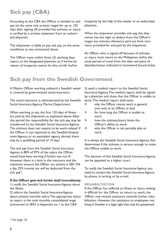## **Sick pay (CBA)**

According to the CBA the Officer is entitled to sick pay (at the same rate as basic wage) for up to 120 days after signing off, provided the sickness or injury is verified by a written statement from an authorized physician.

The shipowner is liable to pay sick pay on the same conditions as was mentioned above.

The Officer must, within three (3) working days, report to the designated physician or, if he/she by reason of incapacity cannot do this, certify his/her incapacity by the help of the master or an authorized physician.

When the shipowner provides sick pay, the shipowner has the right to deduct from the Officer's wages any sickness allowance paid out from insurance provided for and paid by the shipowner.

An Officer who is signed off because of sickness or injury must return to the Philippines within the usual period of travel from the date and place of disembarkation indicated in homeward bound ticket.

## **Sick pay from the Swedish Government**

A Filipino Officer working onboard a Swedish vessel is covered by governmental social insurance.

The social insurance is administrated by the Swedish Social Insurance Agency, Marine Department.

When working at sea, the first 120 days of illness are paid by the shipowner, as explained above. After this period the responsibility for the sick pay may be transferred to the Swedish Social Insurance Agency. The sickness does not require to be work-related. If the Officer is not reported to the Swedish Employment Agency, or an equivalent agency abroad, there may be a qualifying period of 14 days.

The sick pay from the Swedish Social Insurance Agency is 80% of 97% of the salary the Officer would have been earning if he/she was not ill. However, there is a limit in the insurance and the maximum amount the Officer can achieve is SEK 754 a day. 25% income tax will be deducted from the sick pay\*.

#### **If the Officer gets sick he/she shall immediately:**

1) notify the Swedish Social Insurance Agency about the illness

2) inform the Swedish Social Insurance Agency about present monthly salary. The appropriate salary to report is the total monthly consolidated wage (converted to SEK) in Appendix no 1 to the CBA

3) send a medical report to the Swedish Social Insurance Agency. The medical report shall be signed by a physician and show that the Officer is unable to work.The medical report shall state:

- why the Officer cannot work in general (not only as an Officer at sea)
- $\bullet$  for how long the Officer is unable to work
- $\bullet$  how the sickness/injury limits the Officer's ability to work
- $\bullet$  why the Officer is not partially able to work.

It is always the Swedish Social Insurance Agency that determines if the sickness is serious enough to make the Officer unable to work.

The decision of the Swedish Social Insurance Agency can be appealed to a higher court.

To notify the Swedish Social Insurance Agency you need to contact the Swedish Social Insurance Agency by phone, in writing or by e-mail.

#### **REHABILITATION**

If the Officer has suffered an illness or injury making it difficult for the Officer to return to work, the Officer may receive assistance towards his/her rehabilitation. However, the assistance to employees not living in Sweden is a legal right that may be questioned

*\* See page 10.*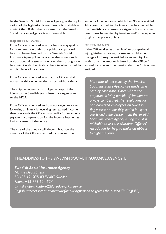by the Swedish Social Insurance Agency, as the application of the legislation is not clear. It is advisable to contact the MOA if the response from the Swedish Social Insurance Agency is not favourable.

#### **INJURED AT WORK**

If the Officer is injured at work he/she may qualify for compensation under the public occupational health scheme, handled by the Swedish Social Insurance Agency. The insurance also covers such occupational diseases as skin conditions brought on by contact with chemicals or back trouble caused by unsuitable work postures.

If the Officer is injured at work, the Officer shall notify the shipowner or the master without delay.

The shipowner/master is obliged to report the injury to the Swedish Social Insurance Agency and to the MOA.

If the Officer is injured and can no longer work or, following an injury, is receiving less earned income than previously, the Officer may qualify for an annuity payable in compensation for the income he/she has lost as a result of the injury.

The size of the annuity will depend both on the amount of the Officer's earned income and the

amount of the pension to which the Officer is entitled. Also costs related to the injury may be covered by the Swedish Social Insurance Agency, but all claimed costs must be verified by invoices and/or receipts in original (no photocopies).

#### **DEPENDANTS**

If the Officer dies as a result of an occupational injury, his/her surviving spouse and children up to the age of 18 may be entitled to an annuity. Also in this case the amount is based on the Officer's earned income and the pension that the Officer was entitled.

*Note that all decisions by the Swedish Social Insurance Agency are made on a case by case basis. Cases where the employee is living outside of Sweden are always complicated. The regulations for non domiciled employees on Swedish flag vessels are not fully settled in higher courts and if the decision from the Swedish Social Insurance Agency is negative, it is advisable to ask the Maritime Officers' Association for help to make an appeal to higher a court.*

### THE ADDRESS TO THE SWEDISH SOCIAL INSURANCE AGENCY IS:

*Swedish Social Insurance Agency Marine Department SE-405 12 GOTHENBURG, Sweden Phone: +46 771 524 524 E-mail: sjofartskontoret@forsakringskassan.se English internet information: www.forsakringskassan.se (press the button "In English")*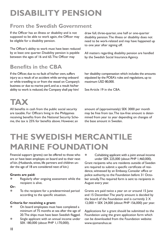# **DISABILITY PENSION**

## **From the Swedish Government**

If the Officer has an illness or disability and is not supposed to be able to work again, the Officer may be eligible for a disability pension.

The Officer's ability to work must have been reduced by at least one quarter. Disability pension is payable between the ages of 16 and 65.The Officer may

## **Benefits in the CBA**

If the Officer, due to no fault of his/her own, suffers injury as a result of an accident while serving onboard or while travelling to or from the vessel on Company's business or due to marine peril, and as a result his/her ability to work is reduced, the Company shall pay him/

draw full, three-quarter, one half or one-quarter disability pension. The illness or disability does not need to be work-related and may have happened up to one year after signing off.

All matters regarding disability pension are handled by the Swedish Social Insurance Agency.

her disability compensation which includes the amounts stipulated by the POEA's rules and regulations, up to maximum USD 80,000.

See Article 19 in the CBA.

# **TAX**

All benefits in cash from the public social security are taxable. For Officers living in the Philippines receiving benefits from the National Security Scheme, the tax is 25% for benefits above. However, an

amount of (approximately) SEK 3000 per month may be free from tax. The tax-free amount is determined from year to year depending on changes of the base amount in Sweden.

# **THE SWEDISH MERCANTILE MARINE FOUNDATION**

Financial support (grants) can be offered to those who are or have been employes on board and to their next of kin.(Husbands,wives, life partners and children under the age of 18 are considered next of kin.)

#### **Grants are paid:**

**• Regularly after ongoing assessment while the** recipient is alive.

#### **Or:**

 $\bullet$  To the recipient for a predetermined period according to the specific situation.

#### **Criteria for receiving a grant:**

- On board employees must have completed a minimum of 75 months at sea after the age of 20.The ships must have been Swedish flagged.
- Single applicant with an annual income under SEK 180,000 (about PHP 1,170,000).

• Cohabiting applicant with a joint annual income under SEK 225,000 (about PHP 1,460,000). Grant recipents who are residents outside of Sweden are required to submit a specific certificate of residence, witnessed by an Embassy, Consolar office or police authority, to the Foundation before 31 October annully. The required form is sent to recipients in August every year.

Grants are paid twice a year on or around 15 June and 15 December. The yearly amount is decided by the board of the Foundation and is currently 2 X 12,000 = SEK 24,000 (about PHP 156,000) per year.

Applications for a grant should be submitted to the Foundation using the grant application form which can be downloaded from the Foundation website: www.sjomanshus.se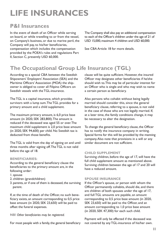# **LIFE INSURANCES**

## **P&I Insurances**

In the event of death of an Officer while serving on board, or while travelling to or from the vessel, on Company's business, or due to marine peril, the Company will pay, to his/her beneficiaries, compensation which includes the compensation provided by the POEA's rules and regulations Part II, Section C, presently USD 60,000.

The Company shall also pay an additional compensation to each of the Officer's children under the age of 21 of USD 15,000, maximum 4 children and USD 60,000.

See CBA Article 18 for more details.

## **The Occupational Group Life Insurance (TGL)**

According to a special CBA between the Swedish Shipowners' Employers' Association (SEA) and the Maritime Officers' Association (MOA) the shipowner is obliged to cover all Filipino Officers on Swedish vessels with the TGL-insurance.

The TGL is a capital insurance, which provides survivors with a lump sum. The TGL provides for a primary amount and a child supplement.

The maximum primary amount, is 6,0 price base amount (in 2020, SEK 283,800).The amount is reduced if the deceased was aged 55 or over. The maximum child supplement is 2,0 price base amount (in 2020, SEK 94,600) per child. No Swedish tax is deducted from those benefits.

The TGL is valid from the day of signing on and until three months after signing off. The TGL is not valid before the age of 18.

#### **BENEFICIARIES:**

According to the general beneficiary clause the beneficiaries to the primary amount are, in the following order:

- 1. spouse
- 2. children (grandchildren)
- 3. parents, or if one of them is deceased, the surviving parent.

If, at the time of death of the Officer, no such beneficiary exists, an amount corresponding to 0,5 price base amount (in 2020, SEK 23,650) will be paid to offset the funeral expenses.

**NB!** *Other beneficiaries may be registered.*

For most people with a family, the general beneficiary

clause will be quite sufficient. However, the insured Officer may designate other beneficiaries if he/she should wish to. This may be of particular interest for an Officer who is single and who may wish to name a certain person as beneficiary.

Also persons who cohabit without being legally married should consider this, since the general beneficiary clause, referring to a spouse, is not valid in the case of those who are not legally married. If, at a later time, the family conditions change, it may be necessary to alter the designation.

To change the general beneficiary clause, the Officer has to notify the insurance company in writing. Special forms for this will be provided by the manning company. Also note that provisions in a will or any similar document are not sufficient.

#### **CHILD SUPPLEMENT**

Surviving children, before the age of 17, will have the full child supplement amount as mentioned above. Surviving children between the age of 17 and 20 will have a reduced amount.

#### **SPOUSE INSURANCE**

If the Officer's spouse, or person with whom the Officer permanently cohabits, should die, and there are children of both spouses under the age of 17, and full TGL amounts are payable, an amount corresponding to 0,5 price base amount (in 2020, SEK 23,650) will be paid to the Officer, and an amount corresponding to 1,0 price base amount (in 2020, SEK 47,300) for each such child.

Payment will only be effected if the deceased was not covered by any TGL-insurance of his/her own.